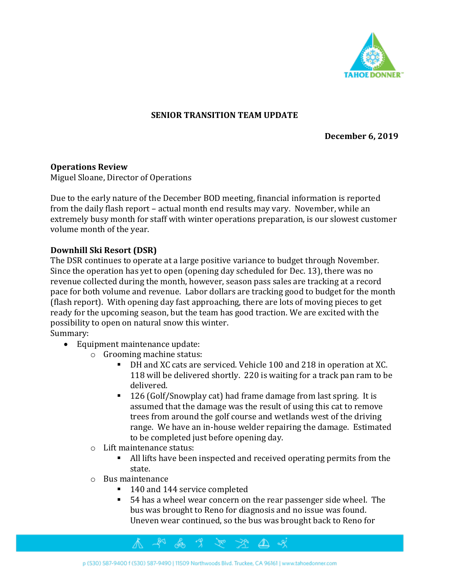

#### **SENIOR TRANSITION TEAM UPDATE**

**December 6, 2019**

#### **Operations Review**

Miguel Sloane, Director of Operations

Due to the early nature of the December BOD meeting, financial information is reported from the daily flash report – actual month end results may vary. November, while an extremely busy month for staff with winter operations preparation, is our slowest customer volume month of the year.

#### **Downhill Ski Resort (DSR)**

The DSR continues to operate at a large positive variance to budget through November. Since the operation has yet to open (opening day scheduled for Dec. 13), there was no revenue collected during the month, however, season pass sales are tracking at a record pace for both volume and revenue. Labor dollars are tracking good to budget for the month (flash report). With opening day fast approaching, there are lots of moving pieces to get ready for the upcoming season, but the team has good traction. We are excited with the possibility to open on natural snow this winter.

Summary:

- Equipment maintenance update:
	- o Grooming machine status:
		- DH and XC cats are serviced. Vehicle 100 and 218 in operation at XC. 118 will be delivered shortly. 220 is waiting for a track pan ram to be delivered.
		- 126 (Golf/Snowplay cat) had frame damage from last spring. It is assumed that the damage was the result of using this cat to remove trees from around the golf course and wetlands west of the driving range. We have an in-house welder repairing the damage. Estimated to be completed just before opening day.
	- o Lift maintenance status:
		- All lifts have been inspected and received operating permits from the state.
	- o Bus maintenance
		- 140 and 144 service completed
		- 54 has a wheel wear concern on the rear passenger side wheel. The bus was brought to Reno for diagnosis and no issue was found. Uneven wear continued, so the bus was brought back to Reno for

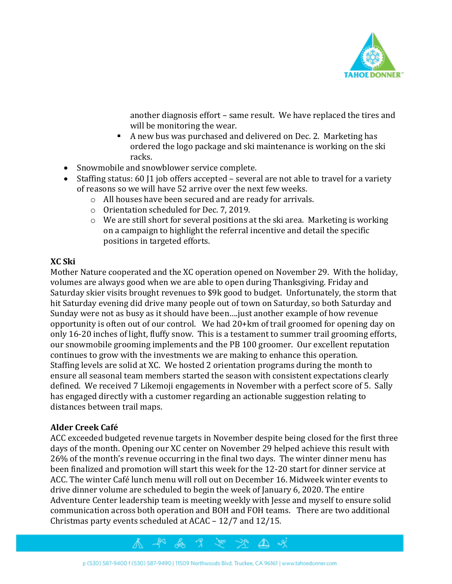

another diagnosis effort – same result. We have replaced the tires and will be monitoring the wear.

- A new bus was purchased and delivered on Dec. 2. Marketing has ordered the logo package and ski maintenance is working on the ski racks.
- Snowmobile and snowblower service complete.
- Staffing status: 60 [1] job offers accepted several are not able to travel for a variety of reasons so we will have 52 arrive over the next few weeks.
	- o All houses have been secured and are ready for arrivals.
	- o Orientation scheduled for Dec. 7, 2019.
	- o We are still short for several positions at the ski area. Marketing is working on a campaign to highlight the referral incentive and detail the specific positions in targeted efforts.

#### **XC Ski**

Mother Nature cooperated and the XC operation opened on November 29. With the holiday, volumes are always good when we are able to open during Thanksgiving. Friday and Saturday skier visits brought revenues to \$9k good to budget. Unfortunately, the storm that hit Saturday evening did drive many people out of town on Saturday, so both Saturday and Sunday were not as busy as it should have been….just another example of how revenue opportunity is often out of our control. We had 20+km of trail groomed for opening day on only 16-20 inches of light, fluffy snow. This is a testament to summer trail grooming efforts, our snowmobile grooming implements and the PB 100 groomer. Our excellent reputation continues to grow with the investments we are making to enhance this operation. Staffing levels are solid at XC. We hosted 2 orientation programs during the month to ensure all seasonal team members started the season with consistent expectations clearly defined. We received 7 Likemoji engagements in November with a perfect score of 5. Sally has engaged directly with a customer regarding an actionable suggestion relating to distances between trail maps.

#### **Alder Creek Café**

ACC exceeded budgeted revenue targets in November despite being closed for the first three days of the month. Opening our XC center on November 29 helped achieve this result with 26% of the month's revenue occurring in the final two days. The winter dinner menu has been finalized and promotion will start this week for the 12-20 start for dinner service at ACC. The winter Café lunch menu will roll out on December 16. Midweek winter events to drive dinner volume are scheduled to begin the week of January 6, 2020. The entire Adventure Center leadership team is meeting weekly with Jesse and myself to ensure solid communication across both operation and BOH and FOH teams. There are two additional Christmas party events scheduled at ACAC – 12/7 and 12/15.

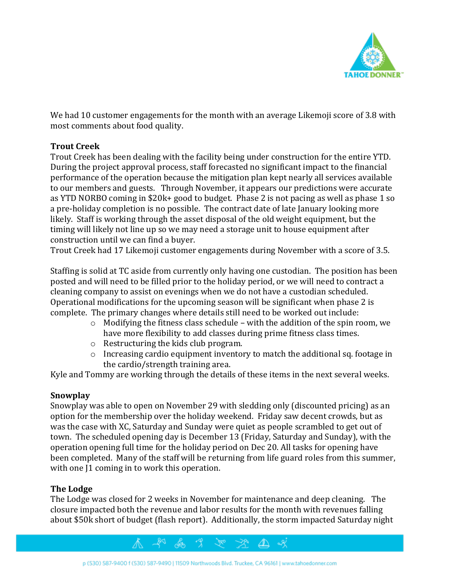

We had 10 customer engagements for the month with an average Likemoji score of 3.8 with most comments about food quality.

#### **Trout Creek**

Trout Creek has been dealing with the facility being under construction for the entire YTD. During the project approval process, staff forecasted no significant impact to the financial performance of the operation because the mitigation plan kept nearly all services available to our members and guests. Through November, it appears our predictions were accurate as YTD NORBO coming in \$20k+ good to budget. Phase 2 is not pacing as well as phase 1 so a pre-holiday completion is no possible. The contract date of late January looking more likely. Staff is working through the asset disposal of the old weight equipment, but the timing will likely not line up so we may need a storage unit to house equipment after construction until we can find a buyer.

Trout Creek had 17 Likemoji customer engagements during November with a score of 3.5.

Staffing is solid at TC aside from currently only having one custodian. The position has been posted and will need to be filled prior to the holiday period, or we will need to contract a cleaning company to assist on evenings when we do not have a custodian scheduled. Operational modifications for the upcoming season will be significant when phase 2 is complete. The primary changes where details still need to be worked out include:

- $\circ$  Modifying the fitness class schedule with the addition of the spin room, we have more flexibility to add classes during prime fitness class times.
- o Restructuring the kids club program.
- o Increasing cardio equipment inventory to match the additional sq. footage in the cardio/strength training area.

Kyle and Tommy are working through the details of these items in the next several weeks.

#### **Snowplay**

Snowplay was able to open on November 29 with sledding only (discounted pricing) as an option for the membership over the holiday weekend. Friday saw decent crowds, but as was the case with XC, Saturday and Sunday were quiet as people scrambled to get out of town. The scheduled opening day is December 13 (Friday, Saturday and Sunday), with the operation opening full time for the holiday period on Dec 20. All tasks for opening have been completed. Many of the staff will be returning from life guard roles from this summer, with one  $1$  coming in to work this operation.

#### **The Lodge**

The Lodge was closed for 2 weeks in November for maintenance and deep cleaning. The closure impacted both the revenue and labor results for the month with revenues falling about \$50k short of budget (flash report). Additionally, the storm impacted Saturday night

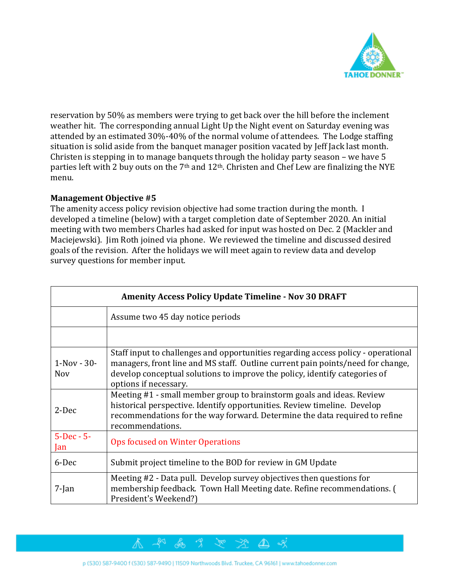

reservation by 50% as members were trying to get back over the hill before the inclement weather hit. The corresponding annual Light Up the Night event on Saturday evening was attended by an estimated 30%-40% of the normal volume of attendees. The Lodge staffing situation is solid aside from the banquet manager position vacated by Jeff Jack last month. Christen is stepping in to manage banquets through the holiday party season – we have 5 parties left with 2 buy outs on the 7<sup>th</sup> and 12<sup>th</sup>. Christen and Chef Lew are finalizing the NYE menu.

#### **Management Objective #5**

The amenity access policy revision objective had some traction during the month. I developed a timeline (below) with a target completion date of September 2020. An initial meeting with two members Charles had asked for input was hosted on Dec. 2 (Mackler and Maciejewski). Jim Roth joined via phone. We reviewed the timeline and discussed desired goals of the revision. After the holidays we will meet again to review data and develop survey questions for member input.

| <b>Amenity Access Policy Update Timeline - Nov 30 DRAFT</b> |                                                                                                                                                                                                                                                                             |  |  |  |  |
|-------------------------------------------------------------|-----------------------------------------------------------------------------------------------------------------------------------------------------------------------------------------------------------------------------------------------------------------------------|--|--|--|--|
|                                                             | Assume two 45 day notice periods                                                                                                                                                                                                                                            |  |  |  |  |
|                                                             |                                                                                                                                                                                                                                                                             |  |  |  |  |
| $1-Nov - 30-$<br><b>Nov</b>                                 | Staff input to challenges and opportunities regarding access policy - operational<br>managers, front line and MS staff. Outline current pain points/need for change,<br>develop conceptual solutions to improve the policy, identify categories of<br>options if necessary. |  |  |  |  |
| 2-Dec                                                       | Meeting #1 - small member group to brainstorm goals and ideas. Review<br>historical perspective. Identify opportunities. Review timeline. Develop<br>recommendations for the way forward. Determine the data required to refine<br>recommendations.                         |  |  |  |  |
| $5 - Dec - 5 -$<br>Jan                                      | Ops focused on Winter Operations                                                                                                                                                                                                                                            |  |  |  |  |
| 6-Dec                                                       | Submit project timeline to the BOD for review in GM Update                                                                                                                                                                                                                  |  |  |  |  |
| $7$ -Jan                                                    | Meeting #2 - Data pull. Develop survey objectives then questions for<br>membership feedback. Town Hall Meeting date. Refine recommendations. (<br>President's Weekend?)                                                                                                     |  |  |  |  |

ेख्र

 $\mathbb{Z}$  of

& 9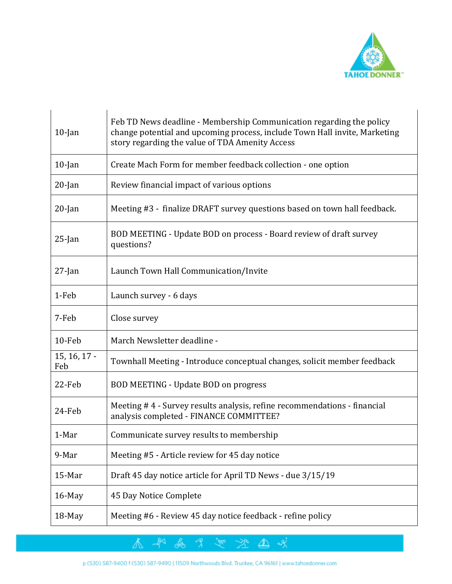

| $10$ -Jan           | Feb TD News deadline - Membership Communication regarding the policy<br>change potential and upcoming process, include Town Hall invite, Marketing<br>story regarding the value of TDA Amenity Access |  |  |  |  |  |
|---------------------|-------------------------------------------------------------------------------------------------------------------------------------------------------------------------------------------------------|--|--|--|--|--|
| $10$ -Jan           | Create Mach Form for member feedback collection - one option                                                                                                                                          |  |  |  |  |  |
| $20$ -Jan           | Review financial impact of various options                                                                                                                                                            |  |  |  |  |  |
| $20$ -Jan           | Meeting #3 - finalize DRAFT survey questions based on town hall feedback.                                                                                                                             |  |  |  |  |  |
| $25$ -Jan           | BOD MEETING - Update BOD on process - Board review of draft survey<br>questions?                                                                                                                      |  |  |  |  |  |
| $27$ -Jan           | Launch Town Hall Communication/Invite                                                                                                                                                                 |  |  |  |  |  |
| 1-Feb               | Launch survey - 6 days                                                                                                                                                                                |  |  |  |  |  |
| 7-Feb               | Close survey                                                                                                                                                                                          |  |  |  |  |  |
| 10-Feb              | March Newsletter deadline -                                                                                                                                                                           |  |  |  |  |  |
| 15, 16, 17 -<br>Feb | Townhall Meeting - Introduce conceptual changes, solicit member feedback                                                                                                                              |  |  |  |  |  |
| 22-Feb              | BOD MEETING - Update BOD on progress                                                                                                                                                                  |  |  |  |  |  |
| 24-Feb              | Meeting #4 - Survey results analysis, refine recommendations - financial<br>analysis completed - FINANCE COMMITTEE?                                                                                   |  |  |  |  |  |
| 1-Mar               | Communicate survey results to membership                                                                                                                                                              |  |  |  |  |  |
| 9-Mar               | Meeting #5 - Article review for 45 day notice                                                                                                                                                         |  |  |  |  |  |
| 15-Mar              | Draft 45 day notice article for April TD News - due 3/15/19                                                                                                                                           |  |  |  |  |  |
| 16-May              | 45 Day Notice Complete                                                                                                                                                                                |  |  |  |  |  |
| 18-May              | Meeting #6 - Review 45 day notice feedback - refine policy                                                                                                                                            |  |  |  |  |  |

不平易才之法也以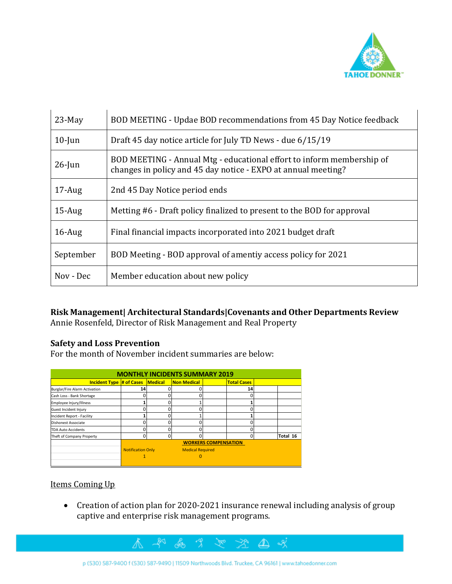

| $23-May$  | BOD MEETING - Updae BOD recommendations from 45 Day Notice feedback                                                                    |  |  |  |  |
|-----------|----------------------------------------------------------------------------------------------------------------------------------------|--|--|--|--|
| $10$ -Jun | Draft 45 day notice article for July TD News - due 6/15/19                                                                             |  |  |  |  |
| $26$ -Jun | BOD MEETING - Annual Mtg - educational effort to inform membership of<br>changes in policy and 45 day notice - EXPO at annual meeting? |  |  |  |  |
| $17$ -Aug | 2nd 45 Day Notice period ends                                                                                                          |  |  |  |  |
| $15$ -Aug | Metting #6 - Draft policy finalized to present to the BOD for approval                                                                 |  |  |  |  |
| $16$ -Aug | Final financial impacts incorporated into 2021 budget draft                                                                            |  |  |  |  |
| September | BOD Meeting - BOD approval of amentiy access policy for 2021                                                                           |  |  |  |  |
| Nov - Dec | Member education about new policy                                                                                                      |  |  |  |  |

### **Risk Management| Architectural Standards|Covenants and Other Departments Review**

Annie Rosenfeld, Director of Risk Management and Real Property

#### **Safety and Loss Prevention**

For the month of November incident summaries are below:

 $\mathbb{A}^-$ 

| <b>MONTHLY INCIDENTS SUMMARY 2019</b> |                                                     |         |                    |                    |          |          |  |  |  |  |
|---------------------------------------|-----------------------------------------------------|---------|--------------------|--------------------|----------|----------|--|--|--|--|
| <b>Incident Type # of Cases</b>       |                                                     | Medical | <b>Non Medical</b> | <b>Total Cases</b> |          |          |  |  |  |  |
| Burglar/Fire Alarm Activation         | 14                                                  |         | 0                  |                    | 14       |          |  |  |  |  |
| Cash Loss - Bank Shortage             | ŋ                                                   |         | 0                  |                    | n        |          |  |  |  |  |
| Employee Injury/Illness               |                                                     | U       |                    |                    |          |          |  |  |  |  |
| Guest Incident Injury                 |                                                     |         | 0                  |                    |          |          |  |  |  |  |
| Incident Report - Facility            |                                                     | n       |                    |                    |          |          |  |  |  |  |
| Dishonest Associate                   |                                                     |         | 0                  |                    |          |          |  |  |  |  |
| <b>TDA Auto Accidents</b>             | ŋ                                                   | n       | 0                  |                    | n        |          |  |  |  |  |
| Theft of Company Property             | $\Omega$                                            | 0       | 0                  |                    | $\Omega$ | Total 16 |  |  |  |  |
|                                       | <b>WORKERS COMPENSATION</b>                         |         |                    |                    |          |          |  |  |  |  |
|                                       | <b>Notification Only</b><br><b>Medical Required</b> |         |                    |                    |          |          |  |  |  |  |
|                                       |                                                     |         |                    |                    |          |          |  |  |  |  |
|                                       |                                                     |         |                    |                    |          |          |  |  |  |  |

## Items Coming Up

• Creation of action plan for 2020-2021 insurance renewal including analysis of group captive and enterprise risk management programs.

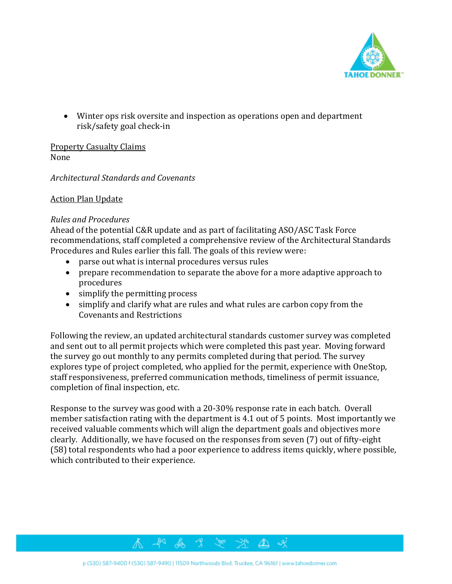

• Winter ops risk oversite and inspection as operations open and department risk/safety goal check-in

Property Casualty Claims None

### *Architectural Standards and Covenants*

#### Action Plan Update

#### *Rules and Procedures*

Ahead of the potential C&R update and as part of facilitating ASO/ASC Task Force recommendations, staff completed a comprehensive review of the Architectural Standards Procedures and Rules earlier this fall. The goals of this review were:

- parse out what is internal procedures versus rules
- prepare recommendation to separate the above for a more adaptive approach to procedures
- simplify the permitting process
- simplify and clarify what are rules and what rules are carbon copy from the Covenants and Restrictions

Following the review, an updated architectural standards customer survey was completed and sent out to all permit projects which were completed this past year. Moving forward the survey go out monthly to any permits completed during that period. The survey explores type of project completed, who applied for the permit, experience with OneStop, staff responsiveness, preferred communication methods, timeliness of permit issuance, completion of final inspection, etc.

Response to the survey was good with a 20-30% response rate in each batch. Overall member satisfaction rating with the department is 4.1 out of 5 points. Most importantly we received valuable comments which will align the department goals and objectives more clearly. Additionally, we have focused on the responses from seven (7) out of fifty-eight (58) total respondents who had a poor experience to address items quickly, where possible, which contributed to their experience.

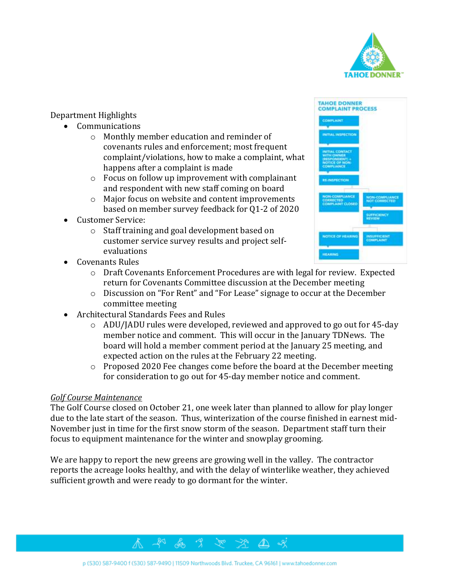

#### Department Highlights

- Communications
	- o Monthly member education and reminder of covenants rules and enforcement; most frequent complaint/violations, how to make a complaint, what happens after a complaint is made
	- o Focus on follow up improvement with complainant and respondent with new staff coming on board
	- o Major focus on website and content improvements based on member survey feedback for Q1-2 of 2020
- Customer Service:
	- o Staff training and goal development based on customer service survey results and project selfevaluations
- Covenants Rules
	- o Draft Covenants Enforcement Procedures are with legal for review. Expected return for Covenants Committee discussion at the December meeting
	- o Discussion on "For Rent" and "For Lease" signage to occur at the December committee meeting
- Architectural Standards Fees and Rules
	- o ADU/JADU rules were developed, reviewed and approved to go out for 45-day member notice and comment. This will occur in the January TDNews. The board will hold a member comment period at the January 25 meeting, and expected action on the rules at the February 22 meeting.
	- o Proposed 2020 Fee changes come before the board at the December meeting for consideration to go out for 45-day member notice and comment.

#### *Golf Course Maintenance*

The Golf Course closed on October 21, one week later than planned to allow for play longer due to the late start of the season. Thus, winterization of the course finished in earnest mid-November just in time for the first snow storm of the season. Department staff turn their focus to equipment maintenance for the winter and snowplay grooming.

We are happy to report the new greens are growing well in the valley. The contractor reports the acreage looks healthy, and with the delay of winterlike weather, they achieved sufficient growth and were ready to go dormant for the winter.



-9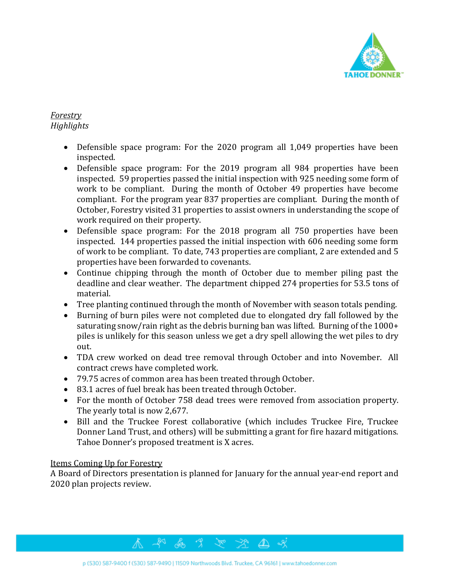

# *Forestry Highlights*

- Defensible space program: For the 2020 program all 1,049 properties have been inspected.
- Defensible space program: For the 2019 program all 984 properties have been inspected. 59 properties passed the initial inspection with 925 needing some form of work to be compliant. During the month of October 49 properties have become compliant. For the program year 837 properties are compliant. During the month of October, Forestry visited 31 properties to assist owners in understanding the scope of work required on their property.
- Defensible space program: For the 2018 program all 750 properties have been inspected. 144 properties passed the initial inspection with 606 needing some form of work to be compliant. To date, 743 properties are compliant, 2 are extended and 5 properties have been forwarded to covenants.
- Continue chipping through the month of October due to member piling past the deadline and clear weather. The department chipped 274 properties for 53.5 tons of material.
- Tree planting continued through the month of November with season totals pending.
- Burning of burn piles were not completed due to elongated dry fall followed by the saturating snow/rain right as the debris burning ban was lifted. Burning of the 1000+ piles is unlikely for this season unless we get a dry spell allowing the wet piles to dry out.
- TDA crew worked on dead tree removal through October and into November. All contract crews have completed work.
- 79.75 acres of common area has been treated through October.
- 83.1 acres of fuel break has been treated through October.
- For the month of October 758 dead trees were removed from association property. The yearly total is now 2,677.
- Bill and the Truckee Forest collaborative (which includes Truckee Fire, Truckee Donner Land Trust, and others) will be submitting a grant for fire hazard mitigations. Tahoe Donner's proposed treatment is X acres.

#### Items Coming Up for Forestry

A Board of Directors presentation is planned for January for the annual year-end report and 2020 plan projects review.

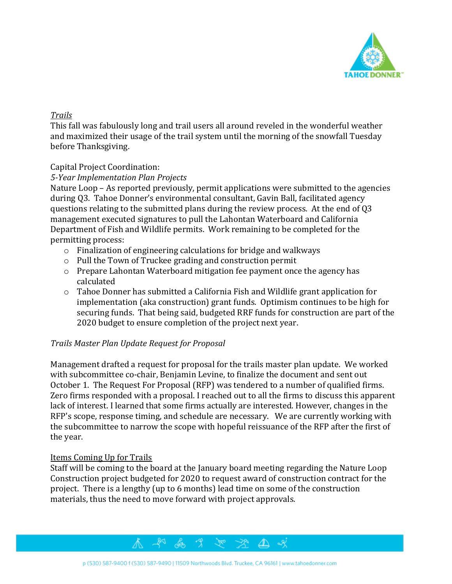

#### *Trails*

This fall was fabulously long and trail users all around reveled in the wonderful weather and maximized their usage of the trail system until the morning of the snowfall Tuesday before Thanksgiving.

### Capital Project Coordination:

#### *5-Year Implementation Plan Projects*

Nature Loop – As reported previously, permit applications were submitted to the agencies during Q3. Tahoe Donner's environmental consultant, Gavin Ball, facilitated agency questions relating to the submitted plans during the review process. At the end of Q3 management executed signatures to pull the Lahontan Waterboard and California Department of Fish and Wildlife permits. Work remaining to be completed for the permitting process:

- o Finalization of engineering calculations for bridge and walkways
- o Pull the Town of Truckee grading and construction permit
- o Prepare Lahontan Waterboard mitigation fee payment once the agency has calculated
- o Tahoe Donner has submitted a California Fish and Wildlife grant application for implementation (aka construction) grant funds. Optimism continues to be high for securing funds. That being said, budgeted RRF funds for construction are part of the 2020 budget to ensure completion of the project next year.

# *Trails Master Plan Update Request for Proposal*

Management drafted a request for proposal for the trails master plan update. We worked with subcommittee co-chair, Benjamin Levine, to finalize the document and sent out October 1. The Request For Proposal (RFP) was tendered to a number of qualified firms. Zero firms responded with a proposal. I reached out to all the firms to discuss this apparent lack of interest. I learned that some firms actually are interested. However, changes in the RFP's scope, response timing, and schedule are necessary. We are currently working with the subcommittee to narrow the scope with hopeful reissuance of the RFP after the first of the year.

#### Items Coming Up for Trails

Staff will be coming to the board at the January board meeting regarding the Nature Loop Construction project budgeted for 2020 to request award of construction contract for the project. There is a lengthy (up to 6 months) lead time on some of the construction materials, thus the need to move forward with project approvals.

 $\mathbb{Z} \mathscr{A}$ 



いふった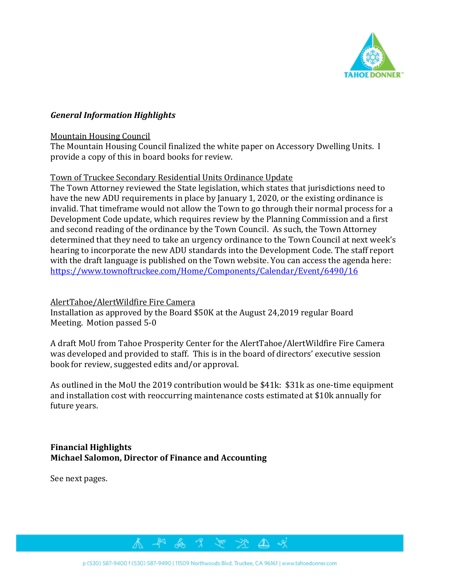

#### *General Information Highlights*

#### Mountain Housing Council

The Mountain Housing Council finalized the white paper on Accessory Dwelling Units. I provide a copy of this in board books for review.

#### Town of Truckee Secondary Residential Units Ordinance Update

The Town Attorney reviewed the State legislation, which states that jurisdictions need to have the new ADU requirements in place by January 1, 2020, or the existing ordinance is invalid. That timeframe would not allow the Town to go through their normal process for a Development Code update, which requires review by the Planning Commission and a first and second reading of the ordinance by the Town Council. As such, the Town Attorney determined that they need to take an urgency ordinance to the Town Council at next week's hearing to incorporate the new ADU standards into the Development Code. The staff report with the draft language is published on the Town website. You can access the agenda here: [https://www.townoftruckee.com/Home/Components/Calendar/Event/6490/16](https://nam10.safelinks.protection.outlook.com/?url=https%3A%2F%2Fwww.townoftruckee.com%2FHome%2FComponents%2FCalendar%2FEvent%2F6490%2F16&data=01%7C01%7Carosenfeld%40TahoeDonner.com%7Ca77f6ca047ee4989157f08d779b71d34%7C897096444f964114a3ff0962b21460fa%7C0&sdata=xDsEOCfXlLV7ksDND88sjryhMojw9SSOYKRyh886wpg%3D&reserved=0)

#### AlertTahoe/AlertWildfire Fire Camera

Installation as approved by the Board \$50K at the August 24,2019 regular Board Meeting. Motion passed 5-0

A draft MoU from Tahoe Prosperity Center for the AlertTahoe/AlertWildfire Fire Camera was developed and provided to staff. This is in the board of directors' executive session book for review, suggested edits and/or approval.

As outlined in the MoU the 2019 contribution would be \$41k: \$31k as one-time equipment and installation cost with reoccurring maintenance costs estimated at \$10k annually for future years.

#### **Financial Highlights Michael Salomon, Director of Finance and Accounting**

See next pages.

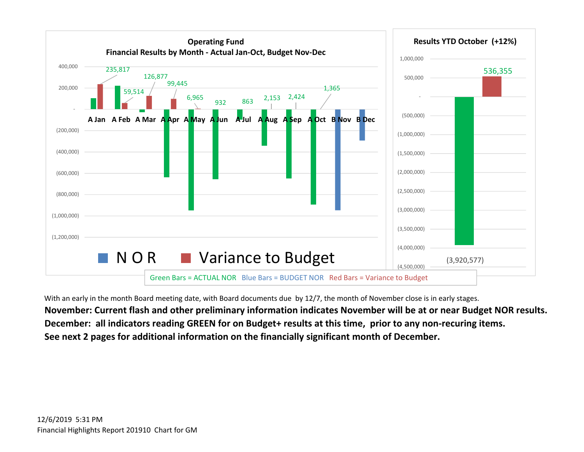

With an early in the month Board meeting date, with Board documents due by 12/7, the month of November close is in early stages. November: Current flash and other preliminary information indicates November will be at or near Budget NOR results. **December: all indicators reading GREEN for on Budget+ results at this time, prior to any non-recuring items. See next 2 pages for additional information on the financially significant month of December.**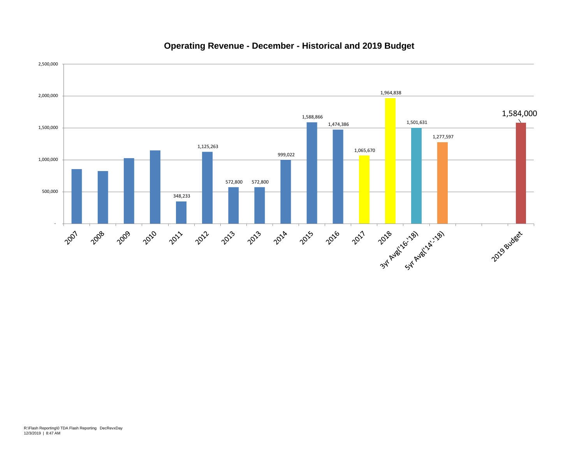#### **Operating Revenue - December - Historical and 2019 Budget**

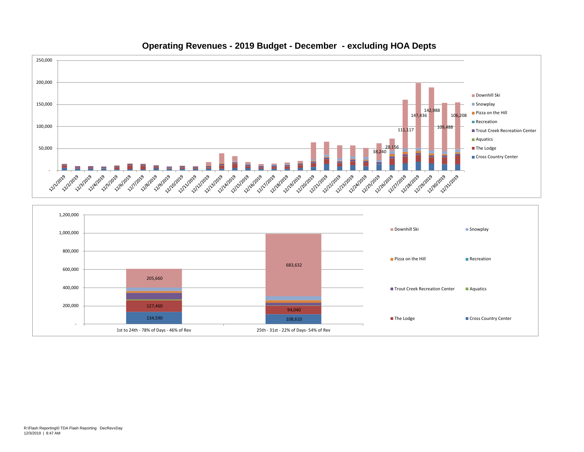

#### **Operating Revenues - 2019 Budget - December - excluding HOA Depts**